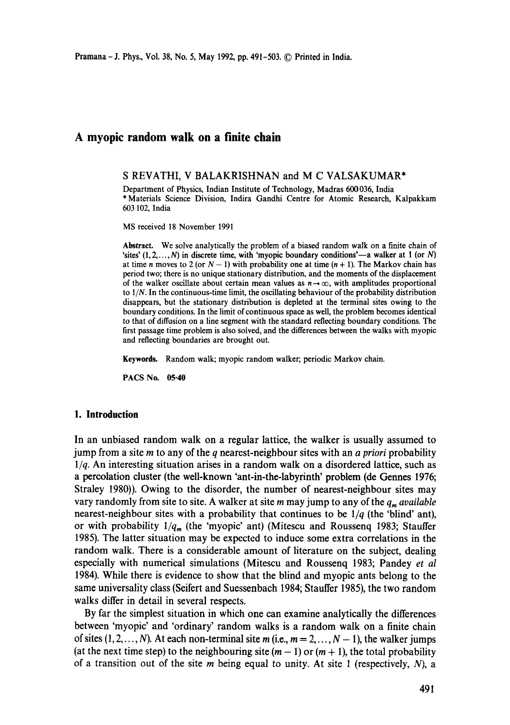# **A myopic random walk on a finite chain**

#### S REVATHI, V BALAKRISHNAN and M C VALSAKUMAR\*

Department of Physics, Indian Institute of Technology, Madras 600 036, India \* Materials Science Division, Indira Gandhi Centre for Atomic Research, Kalpakkam 603 102, India

MS received 18 November 1991

**Abstract.** We solve analytically the problem of a biased random walk on a finite chain of 'sites'  $(1, 2, ..., N)$  in discrete time, with 'myopic boundary conditions'—a walker at 1 (or N) at time n moves to 2 (or  $N - 1$ ) with probability one at time  $(n + 1)$ . The Markov chain has period two; there is no unique stationary distribution, and the moments of the displacement of the walker oscillate about certain mean values as  $n \rightarrow \infty$ , with amplitudes proportional to *1IN.* In the continuous-time limit, the oscillating behaviour of the probability distribution disappears, but the stationary distribution is depleted at the terminal sites owing to the boundary conditions. In the limit of continuous space as well, the problem becomes identical to that of diffusion on a line segment with the standard reflecting boundary conditions. The first passage time problem is also solved, and the differences between the walks with myopic and reflecting boundaries are brought out.

**Keywords.** Random walk; myopic random walker; periodic Markov chain.

PACS No. **05.40** 

### **1. Introduction**

In an unbiased random walk on a regular lattice, the walker is usually assumed to jump from a site m to any of the q nearest-neighbour sites with an *a priori* probability *1/q.* An interesting situation arises in a random walk on a disordered lattice, such as a percolation duster (the well-known 'ant-in-the-labyrinth' problem (de Gennes 1976; Straley 1980)). Owing to the disorder, the number of nearest-neighbour sites may vary randomly from site to site. A walker at site m may jump to any of the  $q_m$  *available* nearest-neighbour sites with a probability that continues to be *1/q* (the 'blind' ant), or with probability  $1/q_m$  (the 'myopic' ant) (Mitescu and Roussenq 1983; Stauffer 1985). The latter situation may be expected to induce some extra correlations in the random walk. There is a considerable amount of literature on the subject, dealing especially with numerical simulations (Mitescu and Roussenq 1983; Pandey *et al*  1984). While there is evidence to show that the blind and myopic ants belong to the same universality class (Seifert and Suessenbach 1984; Stauffer 1985), the two random walks differ in detail in several respects.

By far the simplest situation in which one can examine analytically the differences between 'myopic' and 'ordinary' random walks is a random walk on a finite chain of sites  $(1, 2, \ldots, N)$ . At each non-terminal site m (i.e.,  $m = 2, \ldots, N - 1$ ), the walker jumps (at the next time step) to the neighbouring site  $(m - 1)$  or  $(m + 1)$ , the total probability of a transition out of the site  $m$  being equal to unity. At site 1 (respectively,  $N$ ), a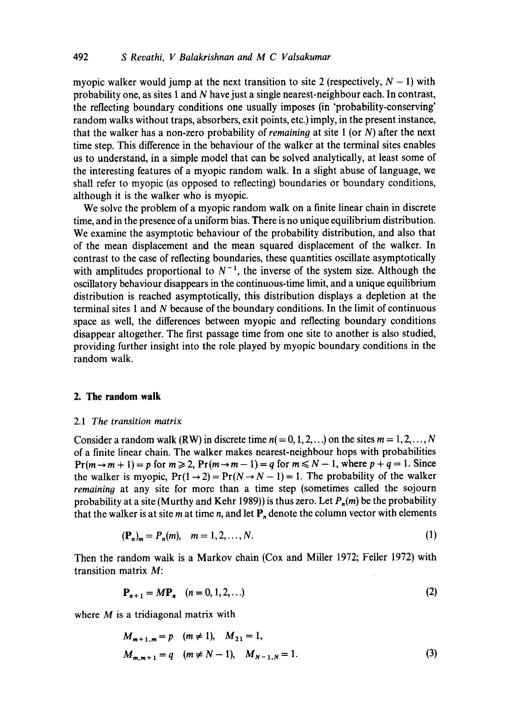myopic walker would jump at the next transition to site 2 (respectively,  $N - 1$ ) with probability one, as sites 1 and N have just a single nearest-neighbour each. In contrast, the reflecting boundary conditions one usually imposes (in 'probability-conserving' random walks without traps, absorbers, exit points, etc.) imply, in the present instance, that the walker has a non-zero probability of *remaining* at site 1 (or N) after the next time step. This difference in the behaviour of the walker at the terminal sites enables us to understand, in a simple model that can be solved analytically, at least some of the interesting features of a myopic random walk. In a slight abuse of language, we shall refer to myopic (as opposed to reflecting) boundaries or boundary conditions, although it is the walker who is myopic.

We solve the problem of a myopic random walk on a finite linear chain in discrete time, and in the presence of a uniform bias. There is no unique equilibrium distribution. We examine the asymptotic behaviour of the probability distribution, and also that of the mean displacement and the mean squared displacement of the walker. In contrast to the case of reflecting boundaries, these quantities oscillate asymptotically with amplitudes proportional to  $N^{-1}$ , the inverse of the system size. Although the oscillatory behaviour disappears in the continuous-time limit, and a unique equilibrium distribution is reached asymptotically, this distribution displays a depletion at the terminal sites 1 and N because of the boundary conditions. In the limit of continuous space as well, the differences between myopic and reflecting boundary conditions disappear altogether. The first passage time from one site to another is also studied, providing further insight into the role played by myopic boundary conditions in the random walk.

#### **2. The random walk**

#### 2.1 *The transition matrix*

Consider a random walk (RW) in discrete time  $n(= 0, 1, 2, ...)$  on the sites  $m = 1, 2, ..., N$ of a finite linear chain. The walker makes nearest-neighbour hops with probabilities  $Pr(m \rightarrow m + 1) = p$  for  $m \ge 2$ ,  $Pr(m \rightarrow m - 1) = q$  for  $m \le N - 1$ , where  $p + q = 1$ . Since the walker is myopic,  $Pr(1 \rightarrow 2) = Pr(N \rightarrow N - 1) = 1$ . The probability of the walker *remaining* at any site for more than a time step (sometimes called the sojourn probability at a site (Murthy and Kehr 1989)) is thus zero. Let  $P_n(m)$  be the probability that the walker is at site m at time n, and let  $P_n$  denote the column vector with elements

$$
(\mathbf{P}_n)_m = P_n(m), \quad m = 1, 2, \dots, N. \tag{1}
$$

Then the random walk is a Markov chain (Cox and Miller 1972; Feller 1972) with transition matrix M:

$$
\mathbf{P}_{n+1} = M\mathbf{P}_n \quad (n = 0, 1, 2, \ldots) \tag{2}
$$

where  $M$  is a tridiagonal matrix with

$$
M_{m+1,m} = p \quad (m \neq 1), \quad M_{21} = 1,
$$
  

$$
M_{m,m+1} = q \quad (m \neq N-1), \quad M_{N-1,N} = 1.
$$
 (3)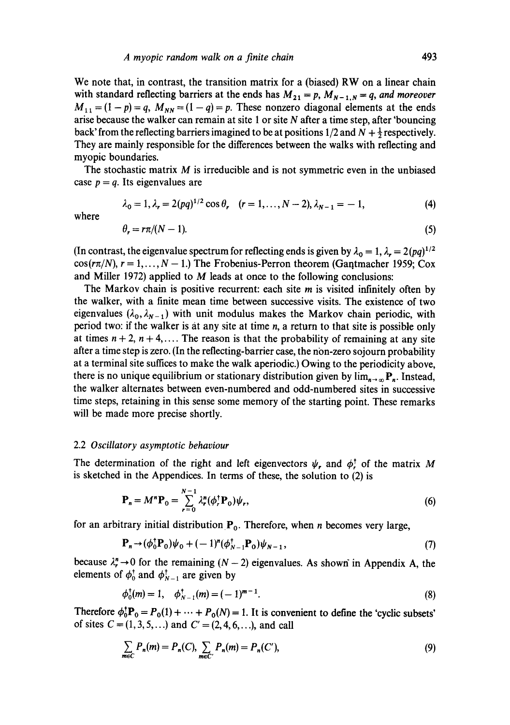We note that, in contrast, the transition matrix for a (biased) RW on a linear chain with standard reflecting barriers at the ends has  $M_{21} = p$ ,  $M_{N-1,N} = q$ , and moreover  $M_{11} = (1 - p) = q$ ,  $M_{NN} = (1 - q) = p$ . These nonzero diagonal elements at the ends arise because the walker can remain at site 1 or site  $N$  after a time step, after 'bouncing back' from the reflecting barriers imagined to be at positions  $1/2$  and  $N + \frac{1}{2}$  respectively. They are mainly responsible for the differences between the walks with reflecting and myopic boundaries.

The stochastic matrix M is irreducible and is not symmetric even in the unbiased case  $p = q$ . Its eigenvalues are

$$
\lambda_0 = 1, \lambda_r = 2(pq)^{1/2} \cos \theta_r \quad (r = 1, ..., N - 2), \lambda_{N-1} = -1,
$$
 (4)

where

$$
\theta_r = r\pi/(N-1). \tag{5}
$$

(In contrast, the eigenvalue spectrum for reflecting ends is given by  $\lambda_0 = 1$ ,  $\lambda_r = 2(pq)^{1/2}$  $cos(r\pi/N), r = 1, ..., N - 1$ .) The Frobenius-Perron theorem (Gantmacher 1959; Cox and Miller 1972) applied to M leads at once to the following conclusions:

The Markov chain is positive recurrent: each site m is visited infinitely often by the walker, with a finite mean time between successive visits. The existence of two eigenvalues ( $\lambda_0$ ,  $\lambda_{N-1}$ ) with unit modulus makes the Markov chain periodic, with period two: if the walker is at any site at time n, a return to that site is possible only at times  $n + 2$ ,  $n + 4$ ,.... The reason is that the probability of remaining at any site after a time step is zero. (In the reflecting-barrier case, the non-zero sojourn probability at a terminal site suffices to make the walk aperiodic.) Owing to the periodicity above, there is no unique equilibrium or stationary distribution given by  $\lim_{n\to\infty} P_n$ . Instead, the walker alternates between even-numbered and odd-numbered sites in successive time steps, retaining in this sense some memory of the starting point. These remarks will be made more precise shortly.

#### 2.2 *Oscillatory asymptotic behaviour*

The determination of the right and left eigenvectors  $\psi_r$ , and  $\phi_r^{\dagger}$  of the matrix M is sketched in the Appendices. In terms of these, the solution to (2) is

$$
\mathbf{P}_n = M^n \mathbf{P}_0 = \sum_{r=0}^{N-1} \lambda_r^n (\phi_r^{\dagger} \mathbf{P}_0) \psi_r,
$$
 (6)

for an arbitrary initial distribution  $P_0$ . Therefore, when *n* becomes very large,

$$
\mathbf{P}_n \rightarrow (\phi_0^{\dagger} \mathbf{P}_0) \psi_0 + (-1)^n (\phi_{N-1}^{\dagger} \mathbf{P}_0) \psi_{N-1}, \tag{7}
$$

because  $\lambda_r^n \rightarrow 0$  for the remaining  $(N-2)$  eigenvalues. As shown in Appendix A, the elements of  $\phi_0^{\dagger}$  and  $\phi_{N-1}^{\dagger}$  are given by

$$
\phi_0^{\dagger}(m) = 1, \quad \phi_{N-1}^{\dagger}(m) = (-1)^{m-1}.
$$
\n(8)

Therefore  $\phi_0^{\dagger} \mathbf{P}_0 = P_0(1) + \cdots + P_0(N) = 1$ . It is convenient to define the 'cyclic subsets' of sites  $C = (1, 3, 5, ...)$  and  $C' = (2, 4, 6, ...)$ , and call

$$
\sum_{m \in C} P_n(m) = P_n(C), \sum_{m \in C'} P_n(m) = P_n(C'), \tag{9}
$$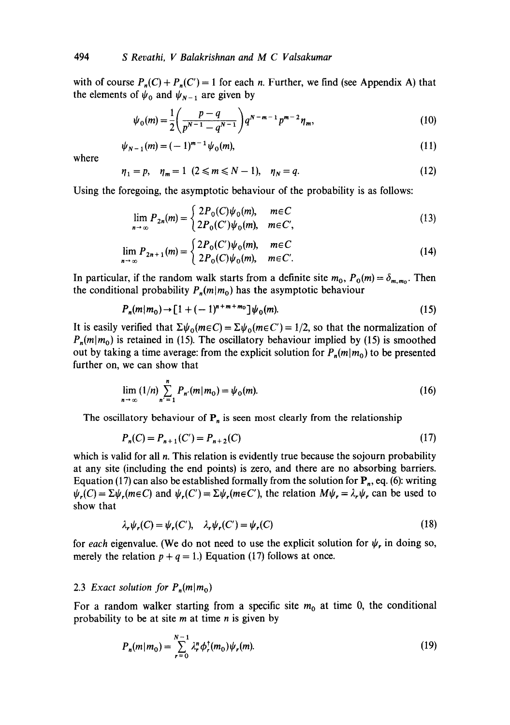with of course  $P_n(C) + P_n(C') = 1$  for each *n*. Further, we find (see Appendix A) that the elements of  $\psi_0$  and  $\psi_{N-1}$  are given by

$$
\psi_0(m) = \frac{1}{2} \left( \frac{p-q}{p^{N-1} - q^{N-1}} \right) q^{N-m-1} p^{m-2} \eta_m,
$$
\n(10)

$$
\psi_{N-1}(m) = (-1)^{m-1} \psi_0(m), \tag{11}
$$

where

$$
\eta_1 = p, \quad \eta_m = 1 \ (2 \le m \le N - 1), \quad \eta_N = q. \tag{12}
$$

Using the foregoing, the asymptotic behaviour of the probability is as follows:

$$
\lim_{n \to \infty} P_{2n}(m) = \begin{cases} 2P_0(C)\psi_0(m), & m \in C \\ 2P_0(C')\psi_0(m), & m \in C', \end{cases}
$$
 (13)

$$
\lim_{n \to \infty} P_{2n+1}(m) = \begin{cases} 2P_0(C')\psi_0(m), & m \in C \\ 2P_0(C)\psi_0(m), & m \in C' . \end{cases}
$$
 (14)

In particular, if the random walk starts from a definite site  $m_0$ ,  $P_0(m) = \delta_{m,m_0}$ . Then the conditional probability  $P_n(m|m_0)$  has the asymptotic behaviour

$$
P_n(m|m_0) \to [1 + (-1)^{n+m+m_0}] \psi_0(m). \tag{15}
$$

It is easily verified that  $\Sigma \psi_0(m\epsilon C) = \Sigma \psi_0(m\epsilon C') = 1/2$ , so that the normalization of  $P_n(m|m_0)$  is retained in (15). The oscillatory behaviour implied by (15) is smoothed out by taking a time average: from the explicit solution for  $P_n(m|m_0)$  to be presented further on, we can show that

$$
\lim_{n \to \infty} (1/n) \sum_{n'=1}^{n} P_{n'}(m|m_0) = \psi_0(m). \tag{16}
$$

The oscillatory behaviour of  $P_n$  is seen most clearly from the relationship

$$
P_n(C) = P_{n+1}(C') = P_{n+2}(C) \tag{17}
$$

which is valid for all  $n$ . This relation is evidently true because the sojourn probability at any site (including the end points) is zero, and there are no absorbing barriers. Equation (17) can also be established formally from the solution for  $P_n$ , eq. (6): writing  $\psi_r(C) = \Sigma \psi_r(m \in C)$  and  $\psi_r(C') = \Sigma \psi_r(m \in C')$ , the relation  $M\psi_r = \lambda_r \psi_r$  can be used to show that

$$
\lambda_r \psi_r(C) = \psi_r(C'), \quad \lambda_r \psi_r(C') = \psi_r(C)
$$
\n(18)

for *each* eigenvalue. (We do not need to use the explicit solution for  $\psi_r$ , in doing so, merely the relation  $p + q = 1$ .) Equation (17) follows at once.

### 2.3 *Exact solution for*  $P_n(m|m_0)$

For a random walker starting from a specific site  $m_0$  at time 0, the conditional probability to be at site  $m$  at time  $n$  is given by

$$
P_n(m|m_0) = \sum_{r=0}^{N-1} \lambda_r^n \phi_r^{\dagger}(m_0) \psi_r(m). \tag{19}
$$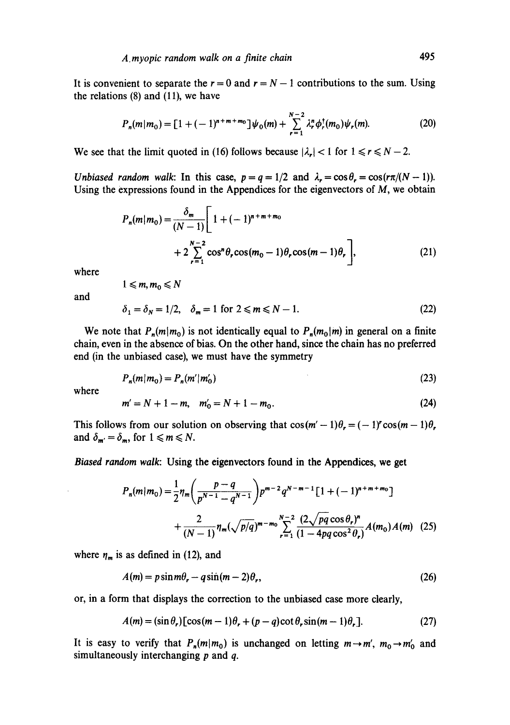It is convenient to separate the  $r = 0$  and  $r = N - 1$  contributions to the sum. Using the relations (8) and (11), we have

$$
P_n(m|m_0) = [1 + (-1)^{n+m+m_0}] \psi_0(m) + \sum_{r=1}^{N-2} \lambda_r^n \phi_r^{\dagger}(m_0) \psi_r(m). \tag{20}
$$

We see that the limit quoted in (16) follows because  $|\lambda_r| < 1$  for  $1 \le r \le N - 2$ .

*Unbiased random walk:* In this case,  $p = q = 1/2$  and  $\lambda_r = \cos \theta_r = \cos(r\pi/(N-1))$ . Using the expressions found in the Appendices for the eigenvectors of  $M$ , we obtain

$$
P_n(m|m_0) = \frac{\delta_m}{(N-1)} \left[ 1 + (-1)^{n+m+m_0} + 2 \sum_{r=1}^{N-2} \cos^n \theta_r \cos(m_0 - 1)\theta_r \cos(m_0 - 1)\theta_r \right],
$$
 (21)

where

$$
1\leqslant m,m_0\leqslant N
$$

and

$$
\delta_1 = \delta_N = 1/2, \quad \delta_m = 1 \text{ for } 2 \leq m \leq N - 1. \tag{22}
$$

We note that  $P_n(m|m_0)$  is not identically equal to  $P_n(m_0|m)$  in general on a finite chain, even in the absence of bias. On the other hand, since the chain has no preferred end (in the unbiased case), we must have the symmetry

$$
P_n(m|m_0) = P_n(m'|m'_0)
$$
\n(23)

where

$$
m'=N+1-m, \quad m'_0=N+1-m_0. \tag{24}
$$

This follows from our solution on observing that  $\cos(m'-1)\theta_r = (-1)^r \cos(m-1)\theta_r$ . and  $\delta_{m'} = \delta_m$ , for  $1 \le m \le N$ .

*Biased random walk:* Using the eigenvectors found in the Appendices, we get

$$
P_n(m|m_0) = \frac{1}{2} \eta_m \left( \frac{p-q}{p^{N-1} - q^{N-1}} \right) p^{m-2} q^{N-m-1} \left[ 1 + (-1)^{n+m+m_0} \right]
$$
  
+ 
$$
\frac{2}{(N-1)} \eta_m (\sqrt{p/q})^{m-m_0} \sum_{r=1}^{N-2} \frac{(2\sqrt{pq \cos \theta_r})^n}{(1 - 4pq \cos^2 \theta_r)} A(m_0) A(m) \quad (25)
$$

where  $\eta_m$  is as defined in (12), and

$$
A(m) = p\sin m\theta_r - q\sin(m-2)\theta_r,\tag{26}
$$

or, in a form that displays the correction to the unbiased case more clearly,

$$
A(m) = (\sin \theta_r) [\cos(m-1)\theta_r + (p-q)\cot \theta_r \sin(m-1)\theta_r]. \tag{27}
$$

It is easy to verify that  $P_n(m|m_0)$  is unchanged on letting  $m \rightarrow m'$ ,  $m_0 \rightarrow m'_0$  and simultaneously interchanging  $p$  and  $q$ .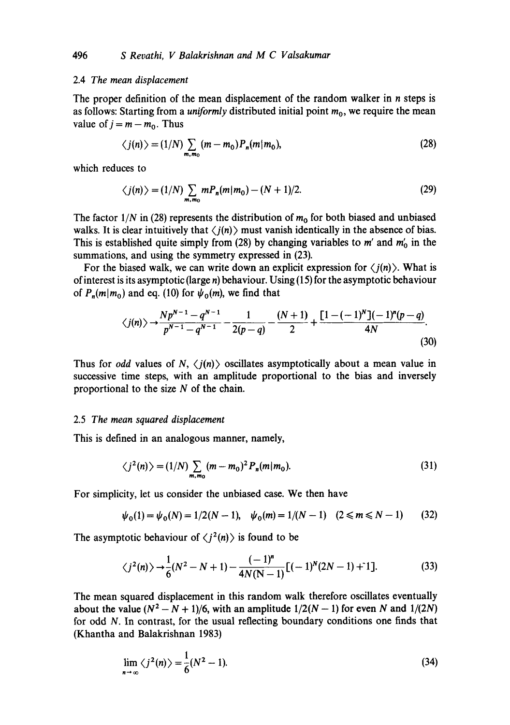#### 2.4 *The mean displacement*

The proper definition of the mean displacement of the random walker in  $n$  steps is as follows: Starting from a *uniformly* distributed initial point  $m_0$ , we require the mean value of  $j = m - m_0$ . Thus

$$
\langle j(n) \rangle = (1/N) \sum_{m,m_0} (m - m_0) P_n(m|m_0),
$$
 (28)

which reduces to

$$
\langle j(n) \rangle = (1/N) \sum_{m,m_0} m P_n(m|m_0) - (N+1)/2.
$$
 (29)

The factor  $1/N$  in (28) represents the distribution of  $m_0$  for both biased and unbiased walks. It is clear intuitively that  $\langle j(n) \rangle$  must vanish identically in the absence of bias. This is established quite simply from (28) by changing variables to m' and  $m'_0$  in the summations, and using the symmetry expressed in (23).

For the biased walk, we can write down an explicit expression for  $\langle j(n) \rangle$ . What is of interest is its asymptotic (large  $n$ ) behaviour. Using (15) for the asymptotic behaviour of  $P_n(m|m_0)$  and eq. (10) for  $\psi_0(m)$ , we find that

$$
\langle j(n) \rangle \rightarrow \frac{Np^{N-1} - q^{N-1}}{p^{N-1} - q^{N-1}} - \frac{1}{2(p-q)} - \frac{(N+1)}{2} + \frac{[1 - (-1)^N](-1)^n(p-q)}{4N}.
$$
\n(30)

Thus for *odd* values of  $N$ ,  $\langle j(n) \rangle$  oscillates asymptotically about a mean value in successive time steps, with an amplitude proportional to the bias and inversely proportional to the size  $N$  of the chain.

#### 2.5 *The mean squared displacement*

This is defined in an analogous manner, namely,

$$
\langle j^2(n) \rangle = (1/N) \sum_{m,m_0} (m - m_0)^2 P_n(m|m_0).
$$
 (31)

For simplicity, let us consider the unbiased case. We then have

$$
\psi_0(1) = \psi_0(N) = 1/2(N-1), \quad \psi_0(m) = 1/(N-1) \quad (2 \le m \le N-1) \tag{32}
$$

The asymptotic behaviour of  $\langle i^2(n) \rangle$  is found to be

$$
\langle j^2(n) \rangle \rightarrow \frac{1}{6} (N^2 - N + 1) - \frac{(-1)^n}{4N(N-1)} [(-1)^N (2N-1) + 1].
$$
 (33)

The mean squared displacement in this random walk therefore oscillates eventually about the value  $(N^2 - N + 1)/6$ , with an amplitude  $1/2(N - 1)$  for even N and  $1/(2N)$ for odd N. In contrast, for the usual reflecting boundary conditions one finds that (Khantha and Balakrishnan 1983)

$$
\lim_{n\to\infty}\langle j^2(n)\rangle=\frac{1}{6}(N^2-1). \tag{34}
$$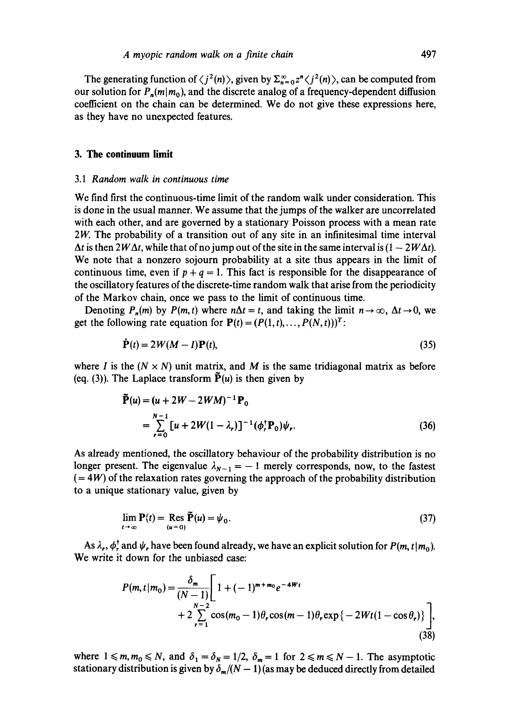The generating function of  $\langle j^2(n) \rangle$ , given by  $\Sigma_{n=0}^{\infty} z^n \langle j^2(n) \rangle$ , can be computed from our solution for  $P_n(m|m_0)$ , and the discrete analog of a frequency-dependent diffusion coefficient on the chain can be determined. We do not give these expressions here, as they have no unexpected features.

### **3. The continuum limit**

#### 3.1 *Random walk in continuous time*

We find first the continuous-time limit of the random walk under consideration. This is done in the usual manner. We assume that the jumps of the walker are uncorrelated with each other, and are governed by a stationary Poisson process with a mean rate 2*W*. The probability of a transition out of any site in an infinitesimal time interval  $\Delta t$  is then 2W $\Delta t$ , while that of no jump out of the site in the same interval is  $(1 - 2W\Delta t)$ . We note that a nonzero sojourn probability at a site thus appears in the limit of continuous time, even if  $p + q = 1$ . This fact is responsible for the disappearance of the oscillatory features of the discrete-time random walk that arise from the periodicity of the Markov chain, once we pass to the limit of continuous time.

Denoting  $P_n(m)$  by  $P(m, t)$  where  $n\Delta t = t$ , and taking the limit  $n \to \infty$ ,  $\Delta t \to 0$ , we get the following rate equation for  $P(t) = (P(1, t), \ldots, P(N, t))^T$ :

$$
\dot{\mathbf{P}}(t) = 2W(M - I)\mathbf{P}(t),\tag{35}
$$

where I is the  $(N \times N)$  unit matrix, and M is the same tridiagonal matrix as before (eq. (3)). The Laplace transform  $\tilde{P}(u)$  is then given by

$$
\tilde{\mathbf{P}}(u) = (u + 2W - 2WM)^{-1}\mathbf{P}_0
$$
\n
$$
= \sum_{r=0}^{N-1} [u + 2W(1 - \lambda_r)]^{-1} (\phi_r^{\dagger} \mathbf{P}_0) \psi_r.
$$
\n(36)

As already mentioned, the oscillatory behaviour of the probability distribution is no longer present. The eigenvalue  $\lambda_{N-1} = -1$  merely corresponds, now, to the fastest  $(= 4W)$  of the relaxation rates governing the approach of the probability distribution to a unique stationary value, given by

$$
\lim_{t \to \infty} \mathbf{P}(t) = \operatorname{Res}_{(u=0)} \tilde{\mathbf{P}}(u) = \psi_0.
$$
\n(37)

As  $\lambda_r$ ,  $\phi_r^{\dagger}$  and  $\psi_r$ , have been found already, we have an explicit solution for  $P(m, t|m_0)$ . We write it down for the unbiased ease:

$$
P(m, t|m_0) = \frac{\delta_m}{(N-1)} \left[ 1 + (-1)^{m+m_0} e^{-4Wt} + 2 \sum_{r=1}^{N-2} \cos(m_0 - 1)\theta_r \cos(m - 1)\theta_r \exp\{-2Wt(1 - \cos\theta_r)\} \right],
$$
\n(38)

where  $1 \le m, m_0 \le N$ , and  $\delta_1 = \delta_N = 1/2$ ,  $\delta_m = 1$  for  $2 \le m \le N - 1$ . The asymptotic stationary distribution is given by  $\delta_{m}/(N-1)$  (as may be deduced directly from detailed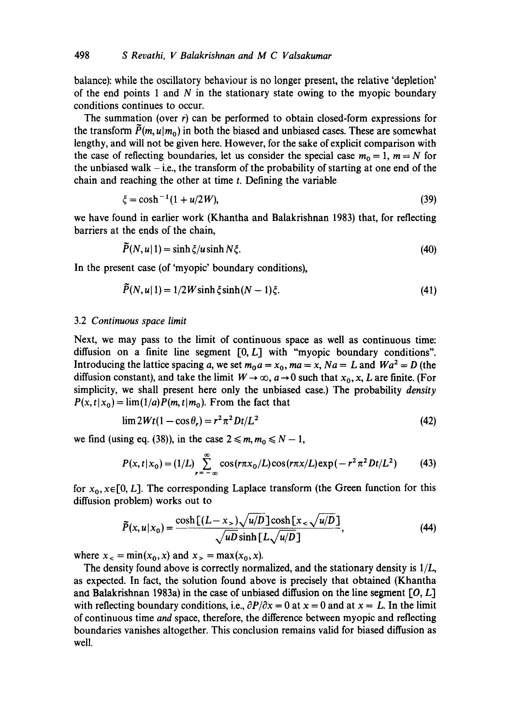balance): while the oscillatory behaviour is no longer present, the relative 'depletion' of the end points 1 and  $N$  in the stationary state owing to the myopic boundary conditions continues to occur.

The summation (over  $r$ ) can be performed to obtain closed-form expressions for the transform  $\tilde{P}(m, u|m_0)$  in both the biased and unbiased cases. These are somewhat lengthy, and will not be given here. However, for the sake of explicit comparison with the case of reflecting boundaries, let us consider the special case  $m_0 = 1$ ,  $m = N$  for the unbiased walk  $-$  i.e., the transform of the probability of starting at one end of the chain and reaching the other at time t. Defining the variable

$$
\xi = \cosh^{-1}(1 + u/2W),\tag{39}
$$

we have found in earlier work (Khantha and Balakrishnan 1983) that, for reflecting barriers at the ends of the chain,

$$
\tilde{P}(N, u|1) = \sinh \xi / u \sinh N \xi. \tag{40}
$$

In the present case (of 'myopic' boundary conditions),

$$
\tilde{P}(N, u|1) = 1/2W \sinh \xi \sinh (N - 1)\xi. \tag{41}
$$

#### 3.2 *Continuous space limit*

Next, we may pass to the limit of continuous space as well as continuous time: diffusion on a finite line segment  $[0, L]$  with "myopic boundary conditions". Introducing the lattice spacing a, we set  $m_0 a = x_0$ ,  $ma = x$ ,  $Na = L$  and  $Wa^2 = D$  (the diffusion constant), and take the limit  $W \to \infty$ ,  $a \to 0$  such that  $x_0$ , x, L are finite. (For simplicity, we shall present here only the unbiased case.) The probability *density*   $P(x, t|x_0) = \lim_{h \to 0} (1/a) P(m, t|m_0)$ . From the fact that

$$
\lim 2Wt(1 - \cos \theta_r) = r^2 \pi^2 Dt/L^2
$$
 (42)

we find (using eq. (38)), in the case  $2 \le m, m_0 \le N - 1$ ,

$$
P(x, t | x_0) = (1/L) \sum_{r=-\infty}^{\infty} \cos(r\pi x_0/L) \cos(r\pi x/L) \exp(-r^2 \pi^2 Dt/L^2)
$$
 (43)

for  $x_0, x \in [0, L]$ . The corresponding Laplace transform (the Green function for this diffusion problem) works out to

$$
\tilde{P}(x, u|x_0) = \frac{\cosh\left[(L-x_>)\sqrt{u/D}\right]\cosh\left[x_<\sqrt{u/D}\right]}{\sqrt{uD}\sinh\left[L\sqrt{u/D}\right]},\tag{44}
$$

where  $x_{-} = min(x_0, x)$  and  $x_{>} = max(x_0, x)$ .

The density found above is correctly normalized, and the stationary density is *l/L,*  as expected. In fact, the solution found above is precisely that obtained (Khantha and Balakrishnan 1983a) in the case of unbiased diffusion on the line segment  $[0, L]$ with reflecting boundary conditions, i.e.,  $\frac{\partial P}{\partial x} = 0$  at  $x = 0$  and at  $x = L$ . In the limit of continuous time *and* space, therefore, the difference between myopic and reflecting boundaries vanishes altogether. This conclusion remains valid for biased diffusion as well.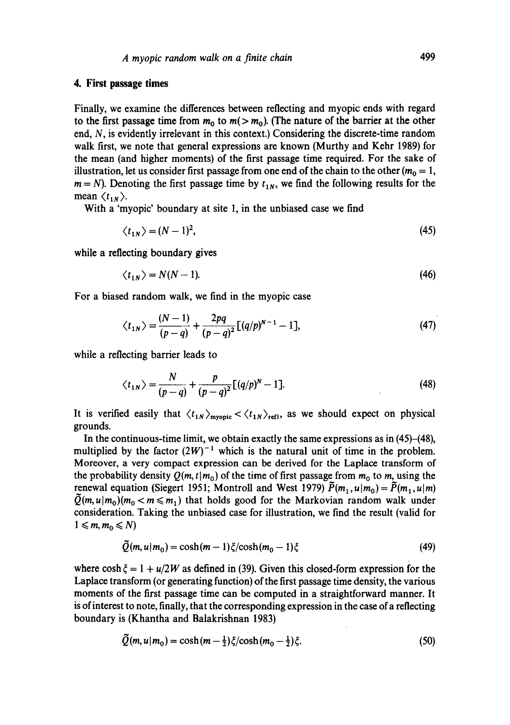### **4. First passage times**

Finally, we examine the differences between reflecting and myopic ends with regard to the first passage time from  $m_0$  to  $m(> m_0)$ . (The nature of the barrier at the other end, N, is evidently irrelevant in this context.) Considering the discrete-time random walk first, we note that general expressions are known (Murthy and Kehr 1989) for the mean (and higher moments) of the first passage time required. For the sake of illustration, let us consider first passage from one end of the chain to the other ( $m_0 = 1$ ,  $m = N$ ). Denoting the first passage time by  $t_{1N}$ , we find the following results for the mean  $\langle t_{1N} \rangle$ .

With a 'myopic' boundary at site 1, in the unbiased case we find

$$
\langle t_{1N} \rangle = (N-1)^2,\tag{45}
$$

while a reflecting boundary gives

$$
\langle t_{1N} \rangle = N(N-1). \tag{46}
$$

For a biased random walk, we find in the myopic case

$$
\langle t_{1N} \rangle = \frac{(N-1)}{(p-q)} + \frac{2pq}{(p-q)^2} [(q/p)^{N-1} - 1], \tag{47}
$$

while a reflecting barrier leads to

$$
\langle t_{1N} \rangle = \frac{N}{(p-q)} + \frac{p}{(p-q)^2} [(q/p)^N - 1]. \tag{48}
$$

It is verified easily that  $\langle t_{1N} \rangle_{\text{myopic}} < \langle t_{1N} \rangle_{\text{refl}}$ , as we should expect on physical grounds.

In the continuous-time limit, we obtain exactly the same expressions as in (45)-(48), multiplied by the factor  $(2W)^{-1}$  which is the natural unit of time in the problem. Moreover, a very compact expression can be derived for the Laplace transform of the probability density  $Q(m, t|m_0)$  of the time of first passage from  $m_0$  to m, using the renewal equation (Siegert 1951; Montroll and West 1979)  $\tilde{P}(m_1, u|m_0) = \tilde{P}(m_1, u|m)$  $Q(m, u|m_0)(m_0 < m \le m_1)$  that holds good for the Markovian random walk under consideration. Taking the unbiased case for illustration, we find the result (valid for  $1 \leqslant m, m_0 \leqslant N$ 

$$
Q(m, u|m_0) = \cosh(m-1)\xi/\cosh(m_0-1)\xi\tag{49}
$$

where  $\cosh \xi = 1 + u/2W$  as defined in (39). Given this closed-form expression for the Laplace transform (or generating function) of the first passage time density, the various moments of the first passage time can be computed in a straightforward manner. It is of interest to note, finally, that the corresponding expression in the case of a reflecting boundary is (Khantha and Balakrishnan 1983)

$$
\tilde{Q}(m, u|m_0) = \cosh(m - \frac{1}{2})\xi/\cosh(m_0 - \frac{1}{2})\xi.
$$
 (50)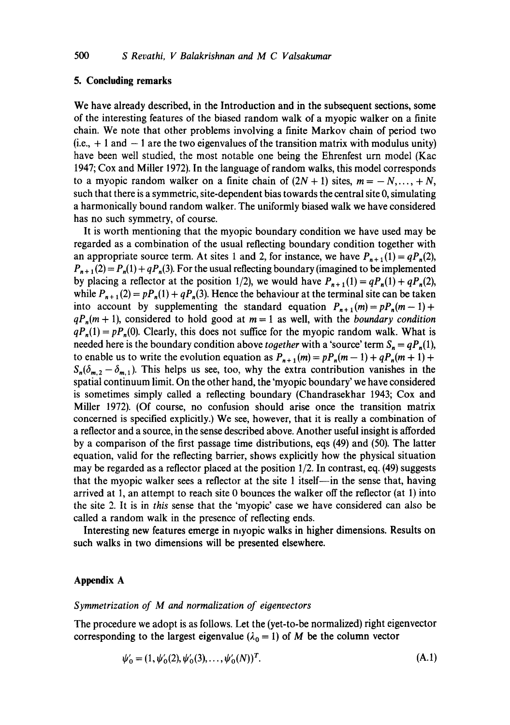### **5. Concluding remarks**

We have already described, in the Introduction and in the subsequent sections, some of the interesting features of the biased random walk of a myopic walker on a finite chain. We note that other problems involving a finite Markov chain of period two  $(i.e., + 1 and - 1 are the two eigenvalues of the transition matrix with modulus unity)$ have been well studied, the most notable one being the Ehrenfest urn model (Kac 1947; Cox and Miller 1972). In the language of random walks, this model corresponds to a myopic random walker on a finite chain of  $(2N + 1)$  sites,  $m = -N, \ldots, +N$ , such that there is a symmetric, site-dependent bias towards the central site 0, simulating a harmonically bound random walker. The uniformly biased walk we have considered has no such symmetry, of course.

It is worth mentioning that the myopic boundary condition we have used may be regarded as a combination of the usual reflecting boundary condition together with an appropriate source term. At sites 1 and 2, for instance, we have  $P_{n+1}(1) = qP_n(2)$ ,  $P_{n+1}(2) = P_n(1) + qP_n(3)$ . For the usual reflecting boundary (imagined to be implemented by placing a reflector at the position 1/2), we would have  $P_{n+1}(1) = qP_n(1) + qP_n(2)$ , while  $P_{n+1}(2) = pP_n(1) + qP_n(3)$ . Hence the behaviour at the terminal site can be taken into account by supplementing the standard equation  $P_{n+1}(m) = pP_n(m-1) + p$  $qP_n(m + 1)$ , considered to hold good at  $m = 1$  as well, with the *boundary condition*  $qP_n(1) = pP_n(0)$ . Clearly, this does not suffice for the myopic random walk. What is needed here is the boundary condition above *together* with a 'source' term  $S_n = qP_n(1)$ , to enable us to write the evolution equation as  $P_{n+1}(m) = pP_n(m-1) + qP_n(m+1) +$  $S_n(\delta_{m,2}-\delta_{m,1})$ . This helps us see, too, why the extra contribution vanishes in the spatial continuum limit. On the other hand, the 'myopic boundary' we have considered is sometimes simply called a reflecting boundary (Chandrasekhar 1943; Cox and Miller 1972). (Of course, no confusion should arise once the transition matrix concerned is specified explicitly.) We see, however, that it is really a combination of a reflector and a source, in the sense described above. Another useful insight is afforded by a comparison of the first passage time distributions, eqs (49) and (50). The latter equation, valid for the reflecting barrier, shows explicitly how the physical situation may be regarded as a reflector placed at the position  $1/2$ . In contrast, eq. (49) suggests that the myopic walker sees a reflector at the site 1 itself--in the sense that, having arrived at 1, an attempt to reach site 0 bounces the walker off the reflector (at 1) into the site 2. It is in *this* sense that the 'myopic' case we have considered can also be called a random walk in the presence of reflecting ends.

Interesting new features emerge in myopic walks in higher dimensions. Results on such walks in two dimensions will be presented elsewhere.

### **Appendix A**

### *Symmetrization of M and normalization of eigenvectors*

The procedure we adopt is as follows. Let the (yet-to-be normalized) right eigenvector corresponding to the largest eigenvalue ( $\lambda_0 = 1$ ) of M be the column vector

$$
\psi'_0 = (1, \psi'_0(2), \psi'_0(3), \dots, \psi'_0(N))^T.
$$
\n(A.1)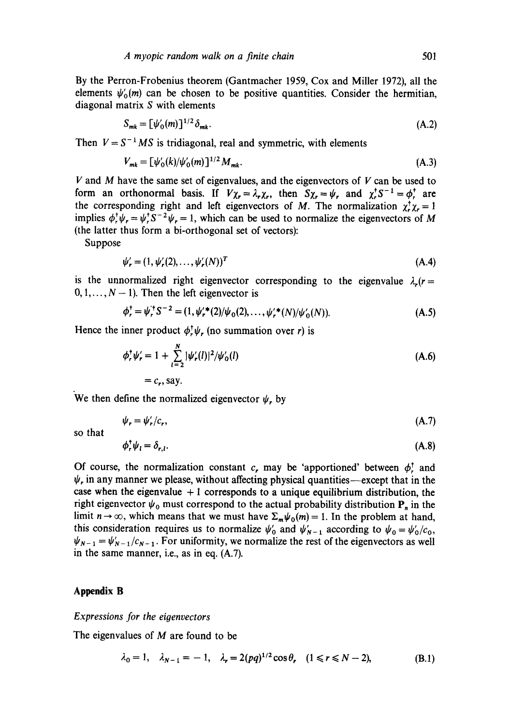By the Perron-Frobenius theorem (Gantmacher 1959, Cox and Miller 1972), all the elements  $\psi_0(m)$  can be chosen to be positive quantities. Consider the hermitian, diagonal matrix S with elements

$$
S_{mk} = \left[\psi_0'(m)\right]^{1/2} \delta_{mk}.\tag{A.2}
$$

Then  $V = S^{-1} MS$  is tridiagonal, real and symmetric, with elements

$$
V_{mk} = \left[\psi_0'(k)/\psi_0'(m)\right]^{1/2} M_{mk}.\tag{A.3}
$$

 $V$  and  $M$  have the same set of eigenvalues, and the eigenvectors of  $V$  can be used to form an orthonormal basis. If  $V_{\chi} = \lambda_r \chi_r$ , then  $S_{\chi} = \psi_r$ , and  $\chi_r^r S^{-1} = \phi_r^r$  are the corresponding right and left eigenvectors of M. The normalization  $\chi^{\dagger}_{\nu} \chi^{\dagger}_{\nu} = 1$ implies  $\phi^{\dagger}_{\nu} \psi_r = \psi^{\dagger}_{\nu} S^{-2} \psi_r = 1$ , which can be used to normalize the eigenvectors of M (the latter thus form a bi-orthogonal set of vectors):

Suppose

$$
\psi_r' = (1, \psi_r'(2), \dots, \psi_r'(N))^T
$$
\n
$$
(A.4)
$$

is the unnormalized right eigenvector corresponding to the eigenvalue  $\lambda_r(r=$  $0, 1, \ldots, N - 1$ . Then the left eigenvector is

$$
\phi_r^{\dagger} = \psi_r^{\dagger} S^{-2} = (1, \psi_r^{\prime*}(2)/\psi_0(2), \dots, \psi_r^{\prime*}(N)/\psi_0^{\prime}(N)). \tag{A.5}
$$

Hence the inner product  $\phi_r^{\dagger} \psi_r$  (no summation over r) is

$$
\phi_r^{\dagger} \psi_r' = 1 + \sum_{l=2}^{N} |\psi_r'(l)|^2 / \psi_0'(l)
$$
\n
$$
= c_r, \text{say.}
$$
\n(A.6)

We then define the normalized eigenvector  $\psi_r$  by

$$
\psi_r = \psi'_r/c_r, \tag{A.7}
$$

**so that** 

$$
\phi_r^{\dagger} \psi_l = \delta_{r,l}. \tag{A.8}
$$

Of course, the normalization constant c, may be 'apportioned' between  $\phi^{\dagger}$ , and  $\psi$ , in any manner we please, without affecting physical quantities—except that in the case when the eigenvalue  $+1$  corresponds to a unique equilibrium distribution, the right eigenvector  $\psi_0$  must correspond to the actual probability distribution  $P_n$  in the limit  $n \to \infty$ , which means that we must have  $\sum_{m} \psi_0(m) = 1$ . In the problem at hand, this consideration requires us to normalize  $\psi'_0$  and  $\psi'_{N-1}$  according to  $\psi_0 = \psi'_0/c_0$ ,  $\psi_{N-1} = \psi'_{N-1}/c_{N-1}$ . For uniformity, we normalize the rest of the eigenvectors as well in the same manner, i.e., as in eq. (A.7).

## **Appendix B**

### *Expressions for the eioenvectors*

The eigenvalues of M are found to be

$$
\lambda_0 = 1, \quad \lambda_{N-1} = -1, \quad \lambda_r = 2(pq)^{1/2} \cos \theta, \quad (1 \le r \le N-2),
$$
\n(B.1)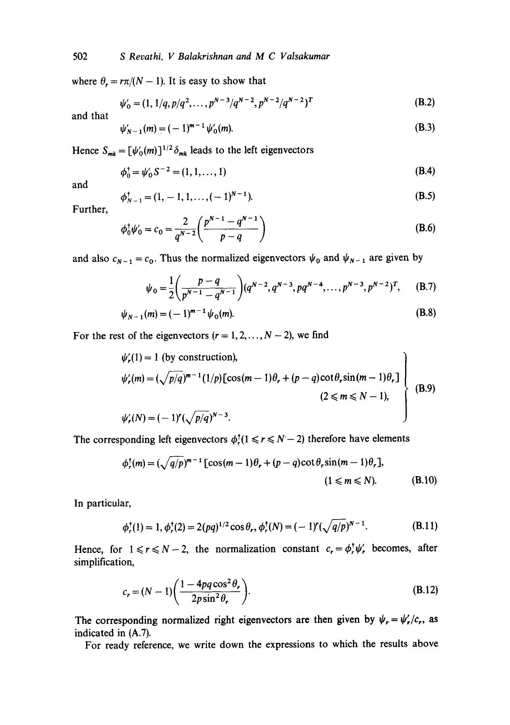### 502 *S Revathi, V Balakrishnan and M C Valsakumar*

where  $\theta_r = r\pi/(N - 1)$ . It is easy to show that

$$
\psi_0' = (1, 1/q, p/q^2, \dots, p^{N-3}/q^{N-2}, p^{N-2}/q^{N-2})^T
$$
 (B.2)

and that

$$
\psi'_{N-1}(m) = (-1)^{m-1} \psi'_{0}(m). \tag{B.3}
$$

Hence  $S_{mk} = [\psi_0'(m)]^{1/2} \delta_{mk}$  leads to the left eigenvectors

$$
\phi_0^{\dagger} = \psi_0' S^{-2} = (1, 1, ..., 1)
$$
 (B.4)

and

$$
\phi_{N-1}^{\dagger} = (1, -1, 1, \dots, (-1)^{N-1}).
$$
\n(B.5)

Further,

$$
\phi_0^{\dagger} \psi_0' = c_0 = \frac{2}{q^{N-2}} \left( \frac{p^{N-1} - q^{N-1}}{p-q} \right)
$$
 (B.6)

and also  $c_{N-1} = c_0$ . Thus the normalized eigenvectors  $\psi_0$  and  $\psi_{N-1}$  are given by

$$
\psi_0 = \frac{1}{2} \left( \frac{p-q}{p^{N-1} - q^{N-1}} \right) (q^{N-2}, q^{N-3}, pq^{N-4}, \dots, p^{N-3}, p^{N-2})^T, \quad (B.7)
$$

$$
\psi_{N-1}(m) = (-1)^{m-1} \psi_0(m). \tag{B.8}
$$

For the rest of the eigenvectors  $(r = 1, 2, ..., N - 2)$ , we find

$$
\psi'_r(1) = 1 \text{ (by construction)},
$$
\n
$$
\psi'_r(m) = (\sqrt{p/q})^{m-1} (1/p) [\cos(m-1)\theta_r + (p-q)\cot\theta_r \sin(m-1)\theta_r]
$$
\n
$$
(2 \le m \le N-1),
$$
\n
$$
\psi'_r(N) = (-1)^r (\sqrt{p/q})^{N-3}.
$$
\n(B.9)

The corresponding left eigenvectors  $\phi_r^{\dagger}(1 \leq r \leq N-2)$  therefore have elements

$$
\phi_r^{\dagger}(m) = (\sqrt{q}/p)^{m-1} [\cos(m-1)\theta_r + (p-q)\cot\theta_r \sin(m-1)\theta_r],
$$
  
(1 \le m \le N). (B.10)

In particular,

$$
\phi_r^{\dagger}(1) = 1, \phi_r^{\dagger}(2) = 2(pq)^{1/2} \cos \theta_r, \phi_r^{\dagger}(N) = (-1)^r (\sqrt{q/p})^{N-1}.
$$
 (B.11)

Hence, for  $1 \le r \le N-2$ , the normalization constant  $c_r = \phi_r^{\dagger} \psi_r^{\dagger}$  becomes, after simplification,

$$
c_r = (N-1)\left(\frac{1-4pq\cos^2\theta_r}{2p\sin^2\theta_r}\right).
$$
 (B.12)

The corresponding normalized right eigenvectors are then given by  $\psi_r = \psi'_r/c_r$ , as indicated in (A.7).

For ready reference, we write down the expressions to which the results above